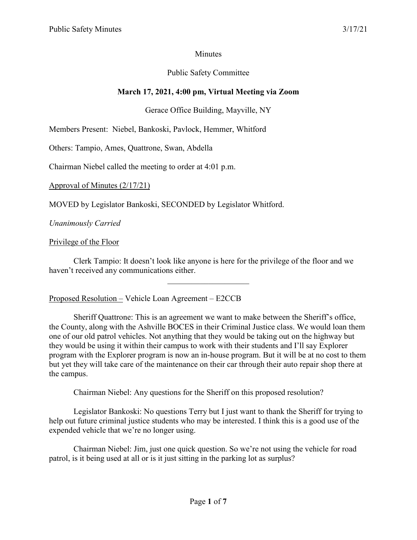# **Minutes**

# Public Safety Committee

# **March 17, 2021, 4:00 pm, Virtual Meeting via Zoom**

# Gerace Office Building, Mayville, NY

Members Present: Niebel, Bankoski, Pavlock, Hemmer, Whitford

Others: Tampio, Ames, Quattrone, Swan, Abdella

Chairman Niebel called the meeting to order at 4:01 p.m.

Approval of Minutes (2/17/21)

MOVED by Legislator Bankoski, SECONDED by Legislator Whitford.

*Unanimously Carried*

#### Privilege of the Floor

Clerk Tampio: It doesn't look like anyone is here for the privilege of the floor and we haven't received any communications either.

 $\mathcal{L}$  , we have the set of the set of the set of the set of the set of the set of the set of the set of the set of the set of the set of the set of the set of the set of the set of the set of the set of the set of the

Proposed Resolution – Vehicle Loan Agreement – E2CCB

Sheriff Quattrone: This is an agreement we want to make between the Sheriff's office, the County, along with the Ashville BOCES in their Criminal Justice class. We would loan them one of our old patrol vehicles. Not anything that they would be taking out on the highway but they would be using it within their campus to work with their students and I'll say Explorer program with the Explorer program is now an in-house program. But it will be at no cost to them but yet they will take care of the maintenance on their car through their auto repair shop there at the campus.

Chairman Niebel: Any questions for the Sheriff on this proposed resolution?

Legislator Bankoski: No questions Terry but I just want to thank the Sheriff for trying to help out future criminal justice students who may be interested. I think this is a good use of the expended vehicle that we're no longer using.

Chairman Niebel: Jim, just one quick question. So we're not using the vehicle for road patrol, is it being used at all or is it just sitting in the parking lot as surplus?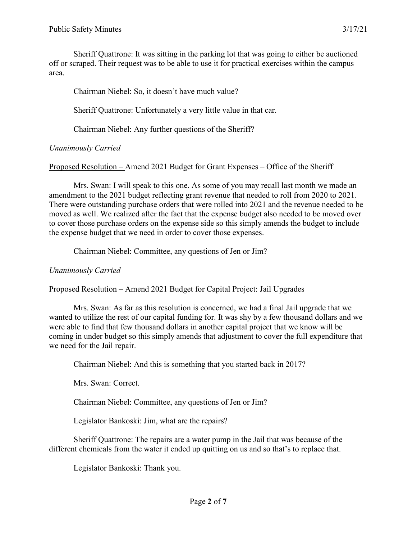Sheriff Quattrone: It was sitting in the parking lot that was going to either be auctioned off or scraped. Their request was to be able to use it for practical exercises within the campus area.

Chairman Niebel: So, it doesn't have much value?

Sheriff Quattrone: Unfortunately a very little value in that car.

Chairman Niebel: Any further questions of the Sheriff?

# *Unanimously Carried*

Proposed Resolution – Amend 2021 Budget for Grant Expenses – Office of the Sheriff

Mrs. Swan: I will speak to this one. As some of you may recall last month we made an amendment to the 2021 budget reflecting grant revenue that needed to roll from 2020 to 2021. There were outstanding purchase orders that were rolled into 2021 and the revenue needed to be moved as well. We realized after the fact that the expense budget also needed to be moved over to cover those purchase orders on the expense side so this simply amends the budget to include the expense budget that we need in order to cover those expenses.

Chairman Niebel: Committee, any questions of Jen or Jim?

## *Unanimously Carried*

Proposed Resolution – Amend 2021 Budget for Capital Project: Jail Upgrades

Mrs. Swan: As far as this resolution is concerned, we had a final Jail upgrade that we wanted to utilize the rest of our capital funding for. It was shy by a few thousand dollars and we were able to find that few thousand dollars in another capital project that we know will be coming in under budget so this simply amends that adjustment to cover the full expenditure that we need for the Jail repair.

Chairman Niebel: And this is something that you started back in 2017?

Mrs. Swan: Correct.

Chairman Niebel: Committee, any questions of Jen or Jim?

Legislator Bankoski: Jim, what are the repairs?

Sheriff Quattrone: The repairs are a water pump in the Jail that was because of the different chemicals from the water it ended up quitting on us and so that's to replace that.

Legislator Bankoski: Thank you.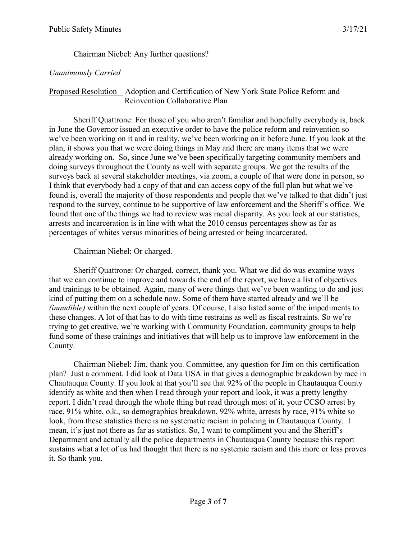## Chairman Niebel: Any further questions?

## *Unanimously Carried*

## Proposed Resolution – Adoption and Certification of New York State Police Reform and Reinvention Collaborative Plan

Sheriff Quattrone: For those of you who aren't familiar and hopefully everybody is, back in June the Governor issued an executive order to have the police reform and reinvention so we've been working on it and in reality, we've been working on it before June. If you look at the plan, it shows you that we were doing things in May and there are many items that we were already working on. So, since June we've been specifically targeting community members and doing surveys throughout the County as well with separate groups. We got the results of the surveys back at several stakeholder meetings, via zoom, a couple of that were done in person, so I think that everybody had a copy of that and can access copy of the full plan but what we've found is, overall the majority of those respondents and people that we've talked to that didn't just respond to the survey, continue to be supportive of law enforcement and the Sheriff's office. We found that one of the things we had to review was racial disparity. As you look at our statistics, arrests and incarceration is in line with what the 2010 census percentages show as far as percentages of whites versus minorities of being arrested or being incarcerated.

#### Chairman Niebel: Or charged.

Sheriff Quattrone: Or charged, correct, thank you. What we did do was examine ways that we can continue to improve and towards the end of the report, we have a list of objectives and trainings to be obtained. Again, many of were things that we've been wanting to do and just kind of putting them on a schedule now. Some of them have started already and we'll be *(inaudible)* within the next couple of years. Of course, I also listed some of the impediments to these changes. A lot of that has to do with time restrains as well as fiscal restraints. So we're trying to get creative, we're working with Community Foundation, community groups to help fund some of these trainings and initiatives that will help us to improve law enforcement in the County.

Chairman Niebel: Jim, thank you. Committee, any question for Jim on this certification plan? Just a comment. I did look at Data USA in that gives a demographic breakdown by race in Chautauqua County. If you look at that you'll see that 92% of the people in Chautauqua County identify as white and then when I read through your report and look, it was a pretty lengthy report. I didn't read through the whole thing but read through most of it, your CCSO arrest by race, 91% white, o.k., so demographics breakdown, 92% white, arrests by race, 91% white so look, from these statistics there is no systematic racism in policing in Chautauqua County. I mean, it's just not there as far as statistics. So, I want to compliment you and the Sheriff's Department and actually all the police departments in Chautauqua County because this report sustains what a lot of us had thought that there is no systemic racism and this more or less proves it. So thank you.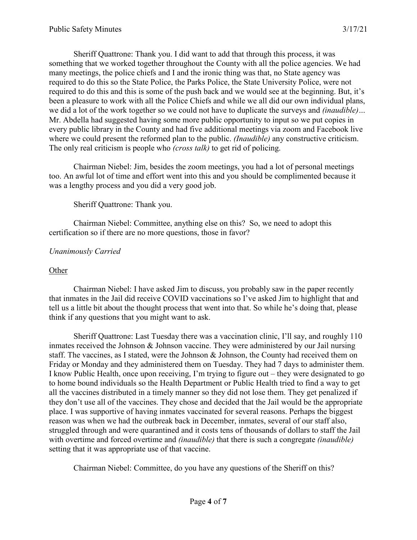Sheriff Quattrone: Thank you. I did want to add that through this process, it was something that we worked together throughout the County with all the police agencies. We had many meetings, the police chiefs and I and the ironic thing was that, no State agency was required to do this so the State Police, the Parks Police, the State University Police, were not required to do this and this is some of the push back and we would see at the beginning. But, it's been a pleasure to work with all the Police Chiefs and while we all did our own individual plans, we did a lot of the work together so we could not have to duplicate the surveys and *(inaudible)…* Mr. Abdella had suggested having some more public opportunity to input so we put copies in every public library in the County and had five additional meetings via zoom and Facebook live where we could present the reformed plan to the public. *(Inaudible)* any constructive criticism. The only real criticism is people who *(cross talk)* to get rid of policing.

Chairman Niebel: Jim, besides the zoom meetings, you had a lot of personal meetings too. An awful lot of time and effort went into this and you should be complimented because it was a lengthy process and you did a very good job.

#### Sheriff Quattrone: Thank you.

Chairman Niebel: Committee, anything else on this? So, we need to adopt this certification so if there are no more questions, those in favor?

#### *Unanimously Carried*

#### **Other**

Chairman Niebel: I have asked Jim to discuss, you probably saw in the paper recently that inmates in the Jail did receive COVID vaccinations so I've asked Jim to highlight that and tell us a little bit about the thought process that went into that. So while he's doing that, please think if any questions that you might want to ask.

Sheriff Quattrone: Last Tuesday there was a vaccination clinic, I'll say, and roughly 110 inmates received the Johnson & Johnson vaccine. They were administered by our Jail nursing staff. The vaccines, as I stated, were the Johnson & Johnson, the County had received them on Friday or Monday and they administered them on Tuesday. They had 7 days to administer them. I know Public Health, once upon receiving, I'm trying to figure out – they were designated to go to home bound individuals so the Health Department or Public Health tried to find a way to get all the vaccines distributed in a timely manner so they did not lose them. They get penalized if they don't use all of the vaccines. They chose and decided that the Jail would be the appropriate place. I was supportive of having inmates vaccinated for several reasons. Perhaps the biggest reason was when we had the outbreak back in December, inmates, several of our staff also, struggled through and were quarantined and it costs tens of thousands of dollars to staff the Jail with overtime and forced overtime and *(inaudible)* that there is such a congregate *(inaudible)* setting that it was appropriate use of that vaccine.

Chairman Niebel: Committee, do you have any questions of the Sheriff on this?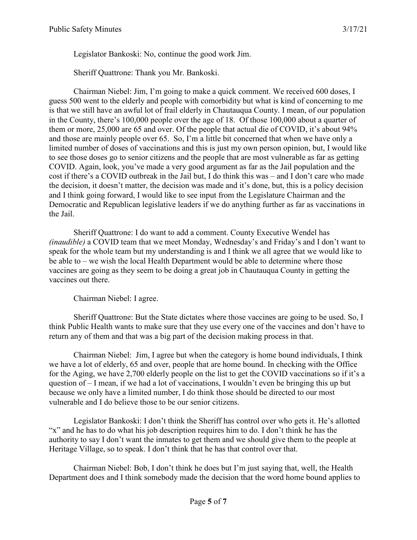Legislator Bankoski: No, continue the good work Jim.

Sheriff Quattrone: Thank you Mr. Bankoski.

Chairman Niebel: Jim, I'm going to make a quick comment. We received 600 doses, I guess 500 went to the elderly and people with comorbidity but what is kind of concerning to me is that we still have an awful lot of frail elderly in Chautauqua County. I mean, of our population in the County, there's 100,000 people over the age of 18. Of those 100,000 about a quarter of them or more, 25,000 are 65 and over. Of the people that actual die of COVID, it's about 94% and those are mainly people over 65. So, I'm a little bit concerned that when we have only a limited number of doses of vaccinations and this is just my own person opinion, but, I would like to see those doses go to senior citizens and the people that are most vulnerable as far as getting COVID. Again, look, you've made a very good argument as far as the Jail population and the cost if there's a COVID outbreak in the Jail but, I do think this was – and I don't care who made the decision, it doesn't matter, the decision was made and it's done, but, this is a policy decision and I think going forward, I would like to see input from the Legislature Chairman and the Democratic and Republican legislative leaders if we do anything further as far as vaccinations in the Jail.

Sheriff Quattrone: I do want to add a comment. County Executive Wendel has *(inaudible)* a COVID team that we meet Monday, Wednesday's and Friday's and I don't want to speak for the whole team but my understanding is and I think we all agree that we would like to be able to – we wish the local Health Department would be able to determine where those vaccines are going as they seem to be doing a great job in Chautauqua County in getting the vaccines out there.

Chairman Niebel: I agree.

Sheriff Quattrone: But the State dictates where those vaccines are going to be used. So, I think Public Health wants to make sure that they use every one of the vaccines and don't have to return any of them and that was a big part of the decision making process in that.

Chairman Niebel: Jim, I agree but when the category is home bound individuals, I think we have a lot of elderly, 65 and over, people that are home bound. In checking with the Office for the Aging, we have 2,700 elderly people on the list to get the COVID vaccinations so if it's a question of – I mean, if we had a lot of vaccinations, I wouldn't even be bringing this up but because we only have a limited number, I do think those should be directed to our most vulnerable and I do believe those to be our senior citizens.

Legislator Bankoski: I don't think the Sheriff has control over who gets it. He's allotted "x" and he has to do what his job description requires him to do. I don't think he has the authority to say I don't want the inmates to get them and we should give them to the people at Heritage Village, so to speak. I don't think that he has that control over that.

Chairman Niebel: Bob, I don't think he does but I'm just saying that, well, the Health Department does and I think somebody made the decision that the word home bound applies to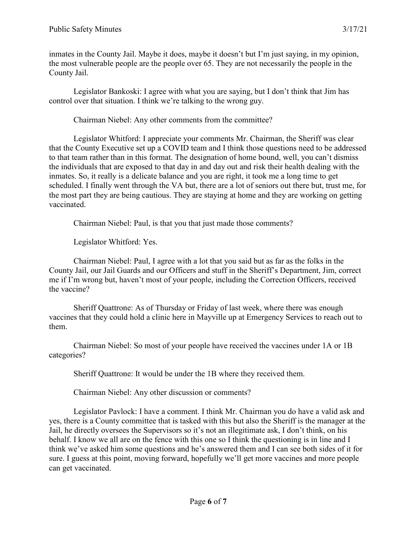inmates in the County Jail. Maybe it does, maybe it doesn't but I'm just saying, in my opinion, the most vulnerable people are the people over 65. They are not necessarily the people in the County Jail.

Legislator Bankoski: I agree with what you are saying, but I don't think that Jim has control over that situation. I think we're talking to the wrong guy.

Chairman Niebel: Any other comments from the committee?

Legislator Whitford: I appreciate your comments Mr. Chairman, the Sheriff was clear that the County Executive set up a COVID team and I think those questions need to be addressed to that team rather than in this format. The designation of home bound, well, you can't dismiss the individuals that are exposed to that day in and day out and risk their health dealing with the inmates. So, it really is a delicate balance and you are right, it took me a long time to get scheduled. I finally went through the VA but, there are a lot of seniors out there but, trust me, for the most part they are being cautious. They are staying at home and they are working on getting vaccinated.

Chairman Niebel: Paul, is that you that just made those comments?

Legislator Whitford: Yes.

Chairman Niebel: Paul, I agree with a lot that you said but as far as the folks in the County Jail, our Jail Guards and our Officers and stuff in the Sheriff's Department, Jim, correct me if I'm wrong but, haven't most of your people, including the Correction Officers, received the vaccine?

Sheriff Quattrone: As of Thursday or Friday of last week, where there was enough vaccines that they could hold a clinic here in Mayville up at Emergency Services to reach out to them.

Chairman Niebel: So most of your people have received the vaccines under 1A or 1B categories?

Sheriff Quattrone: It would be under the 1B where they received them.

Chairman Niebel: Any other discussion or comments?

Legislator Pavlock: I have a comment. I think Mr. Chairman you do have a valid ask and yes, there is a County committee that is tasked with this but also the Sheriff is the manager at the Jail, he directly oversees the Supervisors so it's not an illegitimate ask, I don't think, on his behalf. I know we all are on the fence with this one so I think the questioning is in line and I think we've asked him some questions and he's answered them and I can see both sides of it for sure. I guess at this point, moving forward, hopefully we'll get more vaccines and more people can get vaccinated.